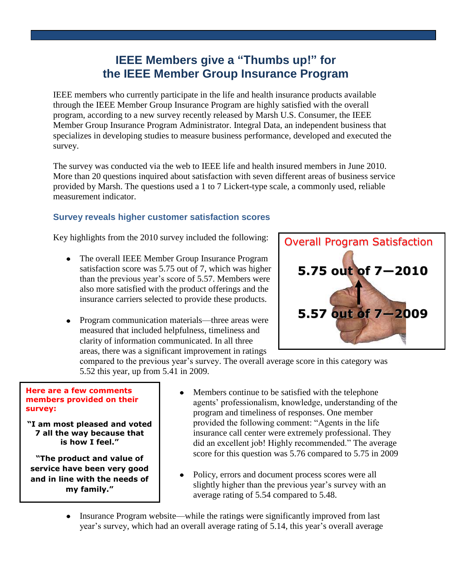## **IEEE Members give a "Thumbs up!" for the IEEE Member Group Insurance Program**

IEEE members who currently participate in the life and health insurance products available through the IEEE Member Group Insurance Program are highly satisfied with the overall program, according to a new survey recently released by Marsh U.S. Consumer, the IEEE Member Group Insurance Program Administrator. Integral Data, an independent business that specializes in developing studies to measure business performance, developed and executed the survey.

The survey was conducted via the web to IEEE life and health insured members in June 2010. More than 20 questions inquired about satisfaction with seven different areas of business service provided by Marsh. The questions used a 1 to 7 Lickert-type scale, a commonly used, reliable measurement indicator.

## **Survey reveals higher customer satisfaction scores**

Key highlights from the 2010 survey included the following:

- The overall IEEE Member Group Insurance Program satisfaction score was 5.75 out of 7, which was higher than the previous year's score of 5.57. Members were also more satisfied with the product offerings and the insurance carriers selected to provide these products.
- Program communication materials—three areas were measured that included helpfulness, timeliness and clarity of information communicated. In all three areas, there was a significant improvement in ratings



compared to the previous year's survey. The overall average score in this category was 5.52 this year, up from 5.41 in 2009.

## **Here are a few comments members provided on their survey:**

**"I am most pleased and voted 7 all the way because that is how I feel."**

**"The product and value of service have been very good and in line with the needs of my family."**

- Members continue to be satisfied with the telephone agents' professionalism, knowledge, understanding of the program and timeliness of responses. One member provided the following comment: "Agents in the life insurance call center were extremely professional. They did an excellent job! Highly recommended." The average score for this question was 5.76 compared to 5.75 in 2009
- Policy, errors and document process scores were all slightly higher than the previous year's survey with an average rating of 5.54 compared to 5.48.
- Insurance Program website—while the ratings were significantly improved from last year's survey, which had an overall average rating of 5.14, this year's overall average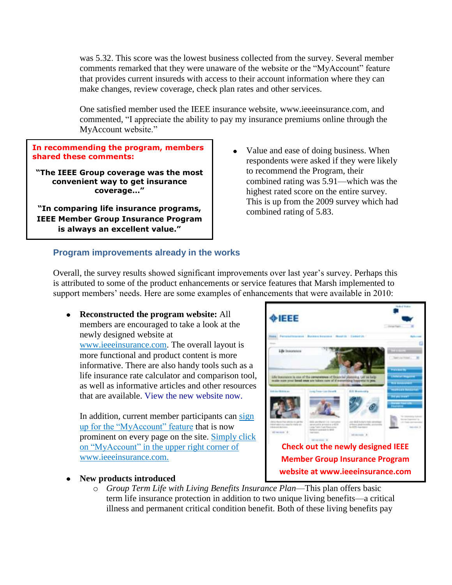was 5.32. This score was the lowest business collected from the survey. Several member comments remarked that they were unaware of the website or the "MyAccount" feature that provides current insureds with access to their account information where they can make changes, review coverage, check plan rates and other services.

One satisfied member used the IEEE insurance website, www.ieeeinsurance.com, and commented, "I appreciate the ability to pay my insurance premiums online through the MyAccount website."

**In recommending the program, members shared these comments:**

**"The IEEE Group coverage was the most convenient way to get insurance coverage…"**

**"In comparing life insurance programs, IEEE Member Group Insurance Program is always an excellent value."**

Value and ease of doing business. When  $\bullet$ respondents were asked if they were likely to recommend the Program, their combined rating was 5.91—which was the highest rated score on the entire survey. This is up from the 2009 survey which had combined rating of 5.83.

## **Program improvements already in the works**

Overall, the survey results showed significant improvements over last year's survey. Perhaps this is attributed to some of the product enhancements or service features that Marsh implemented to support members' needs. Here are some examples of enhancements that were available in 2010:

**Reconstructed the program website:** All members are encouraged to take a look at the newly designed website at [www.ieeeinsurance.com.](http://www.ieeeinsurance.com/) The overall layout is more functional and product content is more informative. There are also handy tools such as a life insurance rate calculator and comparison tool, as well as informative articles and other resources that are available. [View the new website now.](http://www.ieeeinsurance.com/)

In addition, current member participants can sign up for the "MyAccount" feature that is now prominent on every page on the site. Simply click on "MyAccount" in the upper right corner of www.ieeeinsurance.com.

**New products introduced**



o *Group Term Life with Living Benefits Insurance Plan*—This plan offers basic term life insurance protection in addition to two unique living benefits—a critical illness and permanent critical condition benefit. Both of these living benefits pay